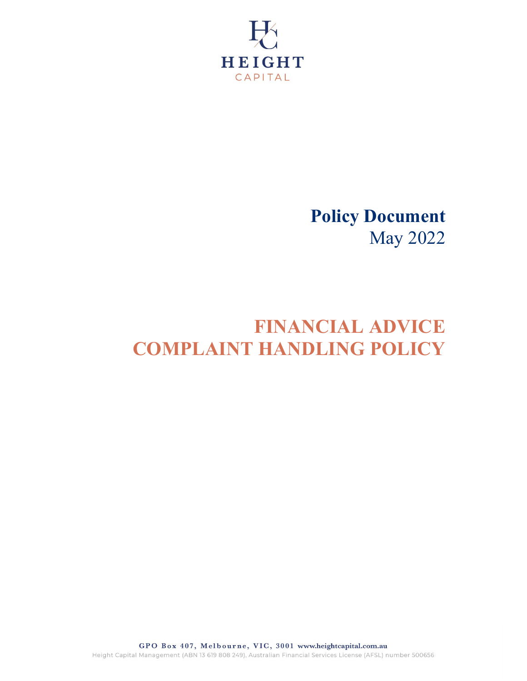

## Policy Document May 2022

# FINANCIAL ADVICE COMPLAINT HANDLING POLICY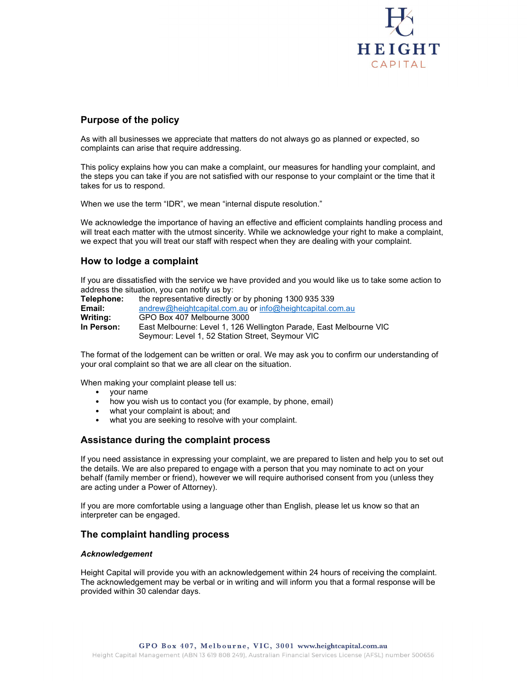

## Purpose of the policy

As with all businesses we appreciate that matters do not always go as planned or expected, so complaints can arise that require addressing.

This policy explains how you can make a complaint, our measures for handling your complaint, and the steps you can take if you are not satisfied with our response to your complaint or the time that it takes for us to respond.

When we use the term "IDR", we mean "internal dispute resolution."

We acknowledge the importance of having an effective and efficient complaints handling process and will treat each matter with the utmost sincerity. While we acknowledge your right to make a complaint, we expect that you will treat our staff with respect when they are dealing with your complaint.

## How to lodge a complaint

If you are dissatisfied with the service we have provided and you would like us to take some action to address the situation, you can notify us by:

Telephone: the representative directly or by phoning 1300 935 339 Email: andrew@heightcapital.com.au or info@heightcapital.com.au Writing: GPO Box 407 Melbourne 3000 In Person: East Melbourne: Level 1, 126 Wellington Parade, East Melbourne VIC Seymour: Level 1, 52 Station Street, Seymour VIC

The format of the lodgement can be written or oral. We may ask you to confirm our understanding of your oral complaint so that we are all clear on the situation.

When making your complaint please tell us:

- your name
- how you wish us to contact you (for example, by phone, email)
- what your complaint is about; and
- what you are seeking to resolve with your complaint.

#### Assistance during the complaint process

If you need assistance in expressing your complaint, we are prepared to listen and help you to set out the details. We are also prepared to engage with a person that you may nominate to act on your behalf (family member or friend), however we will require authorised consent from you (unless they are acting under a Power of Attorney).

If you are more comfortable using a language other than English, please let us know so that an interpreter can be engaged.

### The complaint handling process

#### Acknowledgement

Height Capital will provide you with an acknowledgement within 24 hours of receiving the complaint. The acknowledgement may be verbal or in writing and will inform you that a formal response will be provided within 30 calendar days.